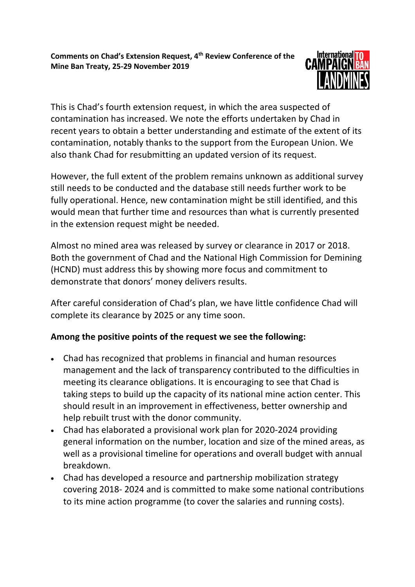

This is Chad's fourth extension request, in which the area suspected of contamination has increased. We note the efforts undertaken by Chad in recent years to obtain a better understanding and estimate of the extent of its contamination, notably thanks to the support from the European Union. We also thank Chad for resubmitting an updated version of its request.

However, the full extent of the problem remains unknown as additional survey still needs to be conducted and the database still needs further work to be fully operational. Hence, new contamination might be still identified, and this would mean that further time and resources than what is currently presented in the extension request might be needed.

Almost no mined area was released by survey or clearance in 2017 or 2018. Both the government of Chad and the National High Commission for Demining (HCND) must address this by showing more focus and commitment to demonstrate that donors' money delivers results.

After careful consideration of Chad's plan, we have little confidence Chad will complete its clearance by 2025 or any time soon.

## **Among the positive points of the request we see the following:**

- Chad has recognized that problems in financial and human resources management and the lack of transparency contributed to the difficulties in meeting its clearance obligations. It is encouraging to see that Chad is taking steps to build up the capacity of its national mine action center. This should result in an improvement in effectiveness, better ownership and help rebuilt trust with the donor community.
- Chad has elaborated a provisional work plan for 2020-2024 providing general information on the number, location and size of the mined areas, as well as a provisional timeline for operations and overall budget with annual breakdown.
- Chad has developed a resource and partnership mobilization strategy covering 2018- 2024 and is committed to make some national contributions to its mine action programme (to cover the salaries and running costs).